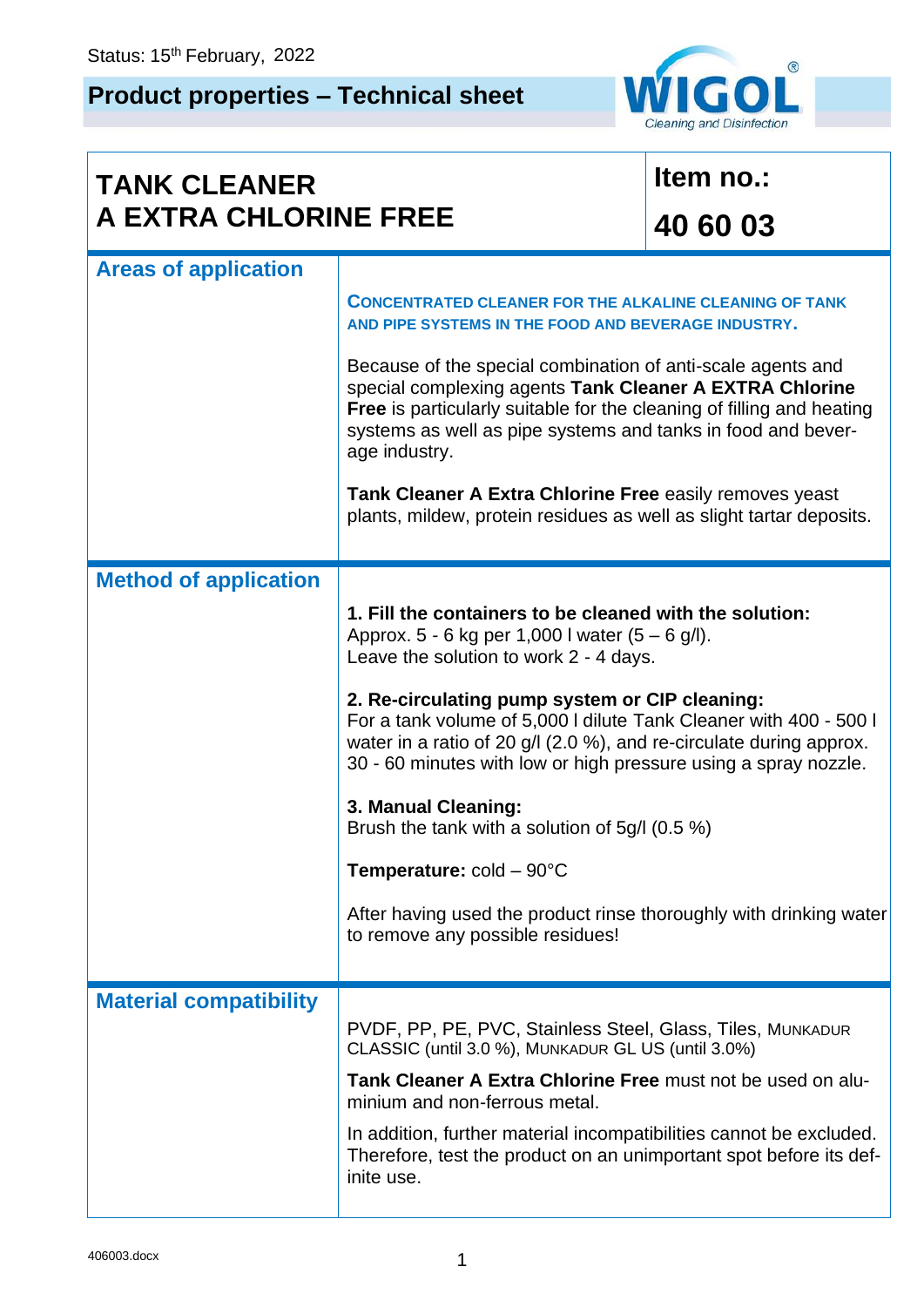## **Product properties – Technical sheet**



| <b>TANK CLEANER</b><br>A EXTRA CHLORINE FREE |                                                                                                                                                                                                                                                                                         | Item no.: |  |  |  |
|----------------------------------------------|-----------------------------------------------------------------------------------------------------------------------------------------------------------------------------------------------------------------------------------------------------------------------------------------|-----------|--|--|--|
|                                              |                                                                                                                                                                                                                                                                                         | 40 60 03  |  |  |  |
| <b>Areas of application</b>                  |                                                                                                                                                                                                                                                                                         |           |  |  |  |
|                                              | <b>CONCENTRATED CLEANER FOR THE ALKALINE CLEANING OF TANK</b><br>AND PIPE SYSTEMS IN THE FOOD AND BEVERAGE INDUSTRY.                                                                                                                                                                    |           |  |  |  |
|                                              | Because of the special combination of anti-scale agents and<br>special complexing agents Tank Cleaner A EXTRA Chlorine<br><b>Free</b> is particularly suitable for the cleaning of filling and heating<br>systems as well as pipe systems and tanks in food and bever-<br>age industry. |           |  |  |  |
|                                              | Tank Cleaner A Extra Chlorine Free easily removes yeast<br>plants, mildew, protein residues as well as slight tartar deposits.                                                                                                                                                          |           |  |  |  |
| <b>Method of application</b>                 |                                                                                                                                                                                                                                                                                         |           |  |  |  |
|                                              | 1. Fill the containers to be cleaned with the solution:<br>Approx. 5 - 6 kg per 1,000 l water $(5 - 6$ g/l).<br>Leave the solution to work 2 - 4 days.                                                                                                                                  |           |  |  |  |
|                                              | 2. Re-circulating pump system or CIP cleaning:<br>For a tank volume of 5,000 I dilute Tank Cleaner with 400 - 500 I<br>water in a ratio of 20 g/l (2.0 %), and re-circulate during approx.<br>30 - 60 minutes with low or high pressure using a spray nozzle.                           |           |  |  |  |
|                                              | 3. Manual Cleaning:<br>Brush the tank with a solution of 5g/l (0.5 %)                                                                                                                                                                                                                   |           |  |  |  |
|                                              | <b>Temperature:</b> $cold - 90^{\circ}C$                                                                                                                                                                                                                                                |           |  |  |  |
|                                              | After having used the product rinse thoroughly with drinking water<br>to remove any possible residues!                                                                                                                                                                                  |           |  |  |  |
| <b>Material compatibility</b>                |                                                                                                                                                                                                                                                                                         |           |  |  |  |
|                                              | PVDF, PP, PE, PVC, Stainless Steel, Glass, Tiles, MUNKADUR<br>CLASSIC (until 3.0 %), MUNKADUR GL US (until 3.0%)                                                                                                                                                                        |           |  |  |  |
|                                              | Tank Cleaner A Extra Chlorine Free must not be used on alu-<br>minium and non-ferrous metal.                                                                                                                                                                                            |           |  |  |  |
|                                              | In addition, further material incompatibilities cannot be excluded.<br>Therefore, test the product on an unimportant spot before its def-<br>inite use.                                                                                                                                 |           |  |  |  |